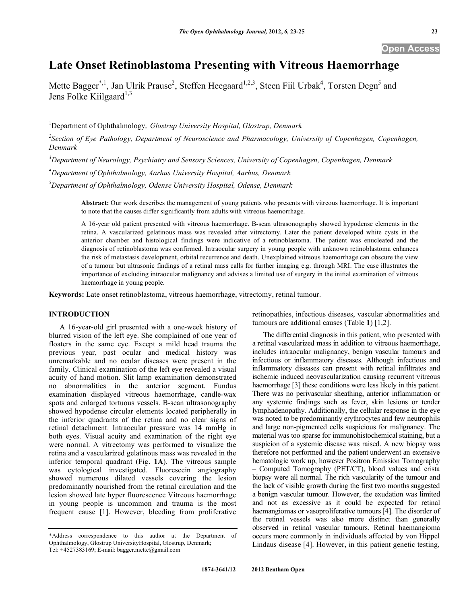**Open Access** 

# **Late Onset Retinoblastoma Presenting with Vitreous Haemorrhage**

Mette Bagger<sup>\*,1</sup>, Jan Ulrik Prause<sup>2</sup>, Steffen Heegaard<sup>1,2,3</sup>, Steen Fiil Urbak<sup>4</sup>, Torsten Degn<sup>5</sup> and Jens Folke Kiilgaard<sup>1,3</sup>

1 Department of Ophthalmology*, Glostrup University Hospital, Glostrup, Denmark* 

<sup>2</sup> Section of Eye Pathology, Department of Neuroscience and Pharmacology, University of Copenhagen, Copenhagen, *Denmark* 

*3 Department of Neurology, Psychiatry and Sensory Sciences, University of Copenhagen, Copenhagen, Denmark* 

*4 Department of Ophthalmology, Aarhus University Hospital, Aarhus, Denmark*

*5 Department of Ophthalmology, Odense University Hospital, Odense, Denmark*

**Abstract:** Our work describes the management of young patients who presents with vitreous haemorrhage. It is important to note that the causes differ significantly from adults with vitreous haemorrhage.

A 16-year old patient presented with vitreous haemorrhage. B-scan ultrasonography showed hypodense elements in the retina. A vascularized gelatinous mass was revealed after vitrectomy. Later the patient developed white cysts in the anterior chamber and histological findings were indicative of a retinoblastoma. The patient was enucleated and the diagnosis of retinoblastoma was confirmed. Intraocular surgery in young people with unknown retinoblastoma enhances the risk of metastasis development, orbital recurrence and death. Unexplained vitreous haemorrhage can obscure the view of a tumour but ultrasonic findings of a retinal mass calls for further imaging e.g. through MRI. The case illustrates the importance of excluding intraocular malignancy and advises a limited use of surgery in the initial examination of vitreous haemorrhage in young people.

**Keywords:** Late onset retinoblastoma, vitreous haemorrhage, vitrectomy, retinal tumour.

## **INTRODUCTION**

 A 16-year-old girl presented with a one-week history of blurred vision of the left eye. She complained of one year of floaters in the same eye. Except a mild head trauma the previous year, past ocular and medical history was unremarkable and no ocular diseases were present in the family. Clinical examination of the left eye revealed a visual acuity of hand motion. Slit lamp examination demonstrated no abnormalities in the anterior segment. Fundus examination displayed vitreous haemorrhage, candle-wax spots and enlarged tortuous vessels. B-scan ultrasonography showed hypodense circular elements located peripherally in the inferior quadrants of the retina and no clear signs of retinal detachment. Intraocular pressure was 14 mmHg in both eyes. Visual acuity and examination of the right eye were normal. A vitrectomy was performed to visualize the retina and a vascularized gelatinous mass was revealed in the inferior temporal quadrant (Fig. **1A**). The vitreous sample was cytological investigated. Fluorescein angiography showed numerous dilated vessels covering the lesion predominantly nourished from the retinal circulation and the lesion showed late hyper fluorescence Vitreous haemorrhage in young people is uncommon and trauma is the most frequent cause [1]. However, bleeding from proliferative

retinopathies, infectious diseases, vascular abnormalities and tumours are additional causes (Table **1**) [1,2].

 The differential diagnosis in this patient, who presented with a retinal vascularized mass in addition to vitreous haemorrhage, includes intraocular malignancy, benign vascular tumours and infectious or inflammatory diseases. Although infectious and inflammatory diseases can present with retinal infiltrates and ischemic induced neovascularization causing recurrent vitreous haemorrhage [3] these conditions were less likely in this patient. There was no perivascular sheathing, anterior inflammation or any systemic findings such as fever, skin lesions or tender lymphadenopathy. Additionally, the cellular response in the eye was noted to be predominantly erythrocytes and few neutrophils and large non-pigmented cells suspicious for malignancy. The material was too sparse for immunohistochemical staining, but a suspicion of a systemic disease was raised. A new biopsy was therefore not performed and the patient underwent an extensive hematologic work up, however Positron Emission Tomography – Computed Tomography (PET/CT), blood values and crista biopsy were all normal. The rich vascularity of the tumour and the lack of visible growth during the first two months suggested a benign vascular tumour. However, the exudation was limited and not as excessive as it could be expected for retinal haemangiomas or vasoproliferative tumours [4]. The disorder of the retinal vessels was also more distinct than generally observed in retinal vascular tumours. Retinal haemangioma occurs more commonly in individuals affected by von Hippel Lindaus disease [4]. However, in this patient genetic testing,

<sup>\*</sup>Address correspondence to this author at the Department of Ophthalmology, Glostrup UniversityHospital, Glostrup, Denmark; Tel: +4527383169; E-mail: bagger.mette@gmail.com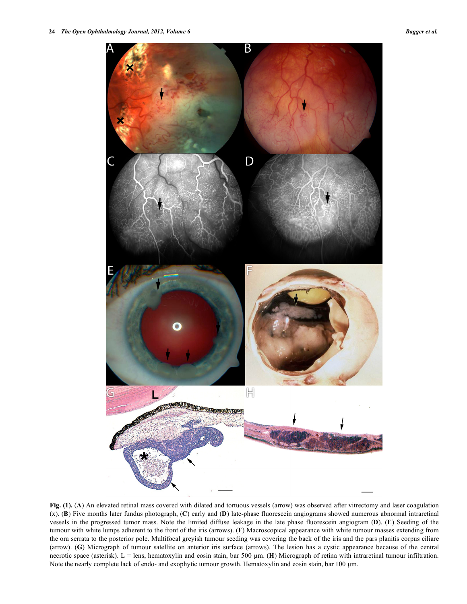

**Fig. (1).** (**A**) An elevated retinal mass covered with dilated and tortuous vessels (arrow) was observed after vitrectomy and laser coagulation (x). (**B**) Five months later fundus photograph, (**C**) early and (**D**) late-phase fluorescein angiograms showed numerous abnormal intraretinal vessels in the progressed tumor mass. Note the limited diffuse leakage in the late phase fluorescein angiogram (**D**). (**E**) Seeding of the tumour with white lumps adherent to the front of the iris (arrows). (**F**) Macroscopical appearance with white tumour masses extending from the ora serrata to the posterior pole. Multifocal greyish tumour seeding was covering the back of the iris and the pars planitis corpus ciliare (arrow). (**G**) Micrograph of tumour satellite on anterior iris surface (arrows). The lesion has a cystic appearance because of the central necrotic space (asterisk). L = lens, hematoxylin and eosin stain, bar 500  $\mu$ m. (**H**) Micrograph of retina with intraretinal tumour infiltration. Note the nearly complete lack of endo- and exophytic tumour growth. Hematoxylin and eosin stain, bar 100 µm.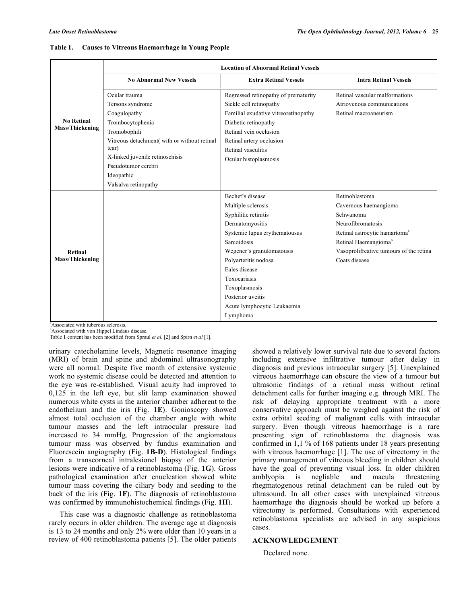| <b>No Retinal</b><br><b>Mass/Thickening</b> | <b>Location of Abnormal Retinal Vessels</b> |                                      |                                           |
|---------------------------------------------|---------------------------------------------|--------------------------------------|-------------------------------------------|
|                                             | <b>No Abnormal New Vessels</b>              | <b>Extra Retinal Vessels</b>         | <b>Intra Retinal Vessels</b>              |
|                                             | Ocular trauma                               | Regressed retinopathy of prematurity | Retinal vascular malformations            |
|                                             | Tersons syndrome                            | Sickle cell retinopathy              | Atriovenous communications                |
|                                             | Coagulopathy                                | Familial exudative vitreoretinopathy | Retinal macroaneurism                     |
|                                             | Trombocytophenia                            | Diabetic retinopathy                 |                                           |
|                                             | Tromobophili                                | Retinal vein occlusion               |                                           |
|                                             | Vitreous detachment(with or without retinal | Retinal artery occlusion             |                                           |
|                                             | tear)                                       | Retinal vasculitis                   |                                           |
|                                             | X-linked juvenile retinoschisis             | Ocular histoplasmosis                |                                           |
|                                             | Pseudotumor cerebri                         |                                      |                                           |
|                                             | Ideopathic                                  |                                      |                                           |
|                                             | Valsalva retinopathy                        |                                      |                                           |
| Retinal<br>Mass/Thickening                  |                                             | Bechet's disease                     | Retinoblastoma                            |
|                                             |                                             | Multiple sclerosis                   | Cavernous haemangioma                     |
|                                             |                                             | Syphilitic retinitis                 | Schwanoma                                 |
|                                             |                                             | Dermatomyositis                      | Neurofibromatosis                         |
|                                             |                                             | Systemic lupus erythematousus        | Retinal astrocytic hamartoma <sup>a</sup> |
|                                             |                                             | <b>Sarcoidosis</b>                   | Retinal Haemangioma <sup>b</sup>          |
|                                             |                                             | Wegener's granulomatousis            | Vasoprolifreative tumours of the retina   |
|                                             |                                             | Polyarteritis nodosa                 | Coats disease                             |
|                                             |                                             | Eales disease                        |                                           |
|                                             |                                             | Toxocariasis                         |                                           |
|                                             |                                             | Toxoplasmosis                        |                                           |
|                                             |                                             | Posterior uveitis                    |                                           |
|                                             |                                             | Acute lymphocytic Leukaemia          |                                           |
|                                             |                                             | Lymphoma                             |                                           |

#### **Table 1. Causes to Vitreous Haemorrhage in Young People**

a Associated with tuberous sclerosis.

**Associated with von Hippel Lindaus disease.** 

Table **1** content has been modified from Spraul *et al*. [2] and Spirn *et al* [1].

urinary catecholamine levels, Magnetic resonance imaging (MRI) of brain and spine and abdominal ultrasonography were all normal. Despite five month of extensive systemic work no systemic disease could be detected and attention to the eye was re-established. Visual acuity had improved to 0,125 in the left eye, but slit lamp examination showed numerous white cysts in the anterior chamber adherent to the endothelium and the iris (Fig. **1E**). Gonioscopy showed almost total occlusion of the chamber angle with white tumour masses and the left intraocular pressure had increased to 34 mmHg. Progression of the angiomatous tumour mass was observed by fundus examination and Fluorescein angiography (Fig. **1B-D**). Histological findings from a transcorneal intralesionel biopsy of the anterior lesions were indicative of a retinoblastoma (Fig. **1G**). Gross pathological examination after enucleation showed white tumour mass covering the ciliary body and seeding to the back of the iris (Fig. **1F**). The diagnosis of retinoblastoma was confirmed by immunohistochemical findings (Fig. **1H**).

 This case was a diagnostic challenge as retinoblastoma rarely occurs in older children. The average age at diagnosis is 13 to 24 months and only 2% were older than 10 years in a review of 400 retinoblastoma patients [5]. The older patients

showed a relatively lower survival rate due to several factors including extensive infiltrative tumour after delay in diagnosis and previous intraocular surgery [5]. Unexplained vitreous haemorrhage can obscure the view of a tumour but ultrasonic findings of a retinal mass without retinal detachment calls for further imaging e.g. through MRI. The risk of delaying appropriate treatment with a more conservative approach must be weighed against the risk of extra orbital seeding of malignant cells with intraocular surgery. Even though vitreous haemorrhage is a rare presenting sign of retinoblastoma the diagnosis was confirmed in 1,1 % of 168 patients under 18 years presenting with vitreous haemorrhage [1]. The use of vitrectomy in the primary management of vitreous bleeding in children should have the goal of preventing visual loss. In older children amblyopia is negliable and macula threatening rhegmatogenous retinal detachment can be ruled out by ultrasound. In all other cases with unexplained vitreous haemorrhage the diagnosis should be worked up before a vitrectomy is performed. Consultations with experienced retinoblastoma specialists are advised in any suspicious cases.

## **ACKNOWLEDGEMENT**

Declared none.